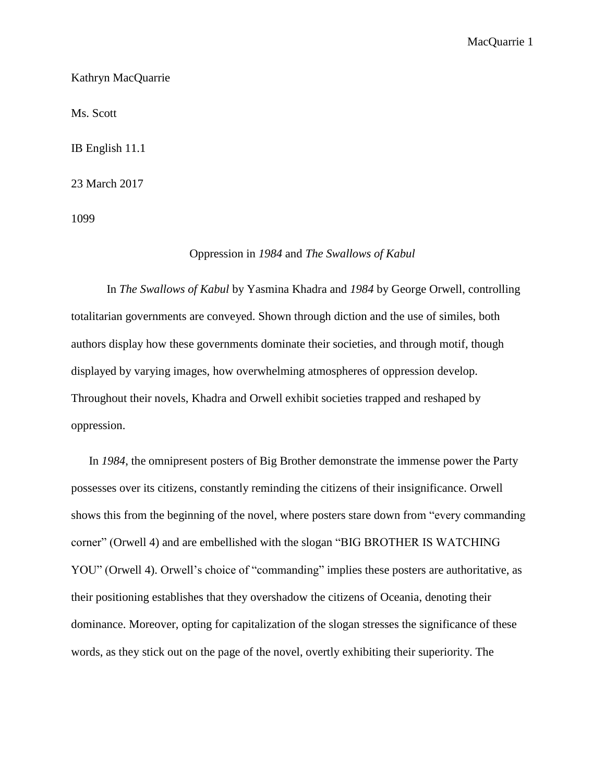MacQuarrie 1

Kathryn MacQuarrie

Ms. Scott

IB English 11.1

23 March 2017

1099

## Oppression in *1984* and *The Swallows of Kabul*

In *The Swallows of Kabul* by Yasmina Khadra and *1984* by George Orwell, controlling totalitarian governments are conveyed. Shown through diction and the use of similes, both authors display how these governments dominate their societies, and through motif, though displayed by varying images, how overwhelming atmospheres of oppression develop. Throughout their novels, Khadra and Orwell exhibit societies trapped and reshaped by oppression.

In *1984*, the omnipresent posters of Big Brother demonstrate the immense power the Party possesses over its citizens, constantly reminding the citizens of their insignificance. Orwell shows this from the beginning of the novel, where posters stare down from "every commanding corner" (Orwell 4) and are embellished with the slogan "BIG BROTHER IS WATCHING YOU" (Orwell 4). Orwell's choice of "commanding" implies these posters are authoritative, as their positioning establishes that they overshadow the citizens of Oceania, denoting their dominance. Moreover, opting for capitalization of the slogan stresses the significance of these words, as they stick out on the page of the novel, overtly exhibiting their superiority. The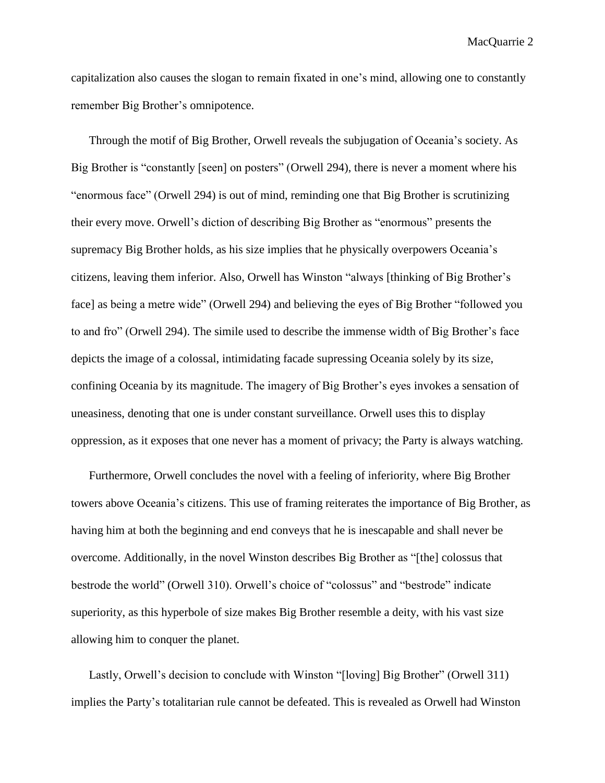MacQuarrie 2

capitalization also causes the slogan to remain fixated in one's mind, allowing one to constantly remember Big Brother's omnipotence.

Through the motif of Big Brother, Orwell reveals the subjugation of Oceania's society. As Big Brother is "constantly [seen] on posters" (Orwell 294), there is never a moment where his "enormous face" (Orwell 294) is out of mind, reminding one that Big Brother is scrutinizing their every move. Orwell's diction of describing Big Brother as "enormous" presents the supremacy Big Brother holds, as his size implies that he physically overpowers Oceania's citizens, leaving them inferior. Also, Orwell has Winston "always [thinking of Big Brother's face] as being a metre wide" (Orwell 294) and believing the eyes of Big Brother "followed you to and fro" (Orwell 294). The simile used to describe the immense width of Big Brother's face depicts the image of a colossal, intimidating facade supressing Oceania solely by its size, confining Oceania by its magnitude. The imagery of Big Brother's eyes invokes a sensation of uneasiness, denoting that one is under constant surveillance. Orwell uses this to display oppression, as it exposes that one never has a moment of privacy; the Party is always watching.

Furthermore, Orwell concludes the novel with a feeling of inferiority, where Big Brother towers above Oceania's citizens. This use of framing reiterates the importance of Big Brother, as having him at both the beginning and end conveys that he is inescapable and shall never be overcome. Additionally, in the novel Winston describes Big Brother as "[the] colossus that bestrode the world" (Orwell 310). Orwell's choice of "colossus" and "bestrode" indicate superiority, as this hyperbole of size makes Big Brother resemble a deity, with his vast size allowing him to conquer the planet.

Lastly, Orwell's decision to conclude with Winston "[loving] Big Brother" (Orwell 311) implies the Party's totalitarian rule cannot be defeated. This is revealed as Orwell had Winston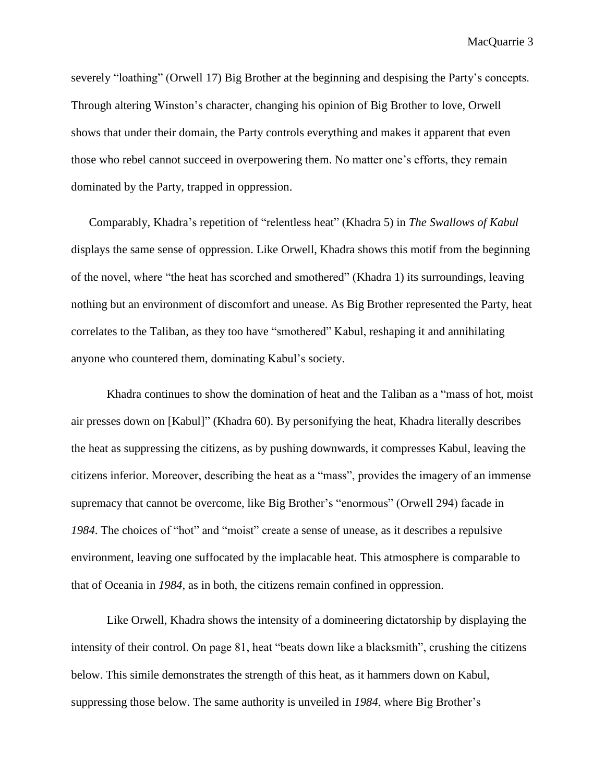severely "loathing" (Orwell 17) Big Brother at the beginning and despising the Party's concepts. Through altering Winston's character, changing his opinion of Big Brother to love, Orwell shows that under their domain, the Party controls everything and makes it apparent that even those who rebel cannot succeed in overpowering them. No matter one's efforts, they remain dominated by the Party, trapped in oppression.

Comparably, Khadra's repetition of "relentless heat" (Khadra 5) in *The Swallows of Kabul* displays the same sense of oppression. Like Orwell, Khadra shows this motif from the beginning of the novel, where "the heat has scorched and smothered" (Khadra 1) its surroundings, leaving nothing but an environment of discomfort and unease. As Big Brother represented the Party, heat correlates to the Taliban, as they too have "smothered" Kabul, reshaping it and annihilating anyone who countered them, dominating Kabul's society.

Khadra continues to show the domination of heat and the Taliban as a "mass of hot, moist air presses down on [Kabul]" (Khadra 60). By personifying the heat, Khadra literally describes the heat as suppressing the citizens, as by pushing downwards, it compresses Kabul, leaving the citizens inferior. Moreover, describing the heat as a "mass", provides the imagery of an immense supremacy that cannot be overcome, like Big Brother's "enormous" (Orwell 294) facade in *1984*. The choices of "hot" and "moist" create a sense of unease, as it describes a repulsive environment, leaving one suffocated by the implacable heat. This atmosphere is comparable to that of Oceania in *1984*, as in both, the citizens remain confined in oppression.

Like Orwell, Khadra shows the intensity of a domineering dictatorship by displaying the intensity of their control. On page 81, heat "beats down like a blacksmith", crushing the citizens below. This simile demonstrates the strength of this heat, as it hammers down on Kabul, suppressing those below. The same authority is unveiled in *1984*, where Big Brother's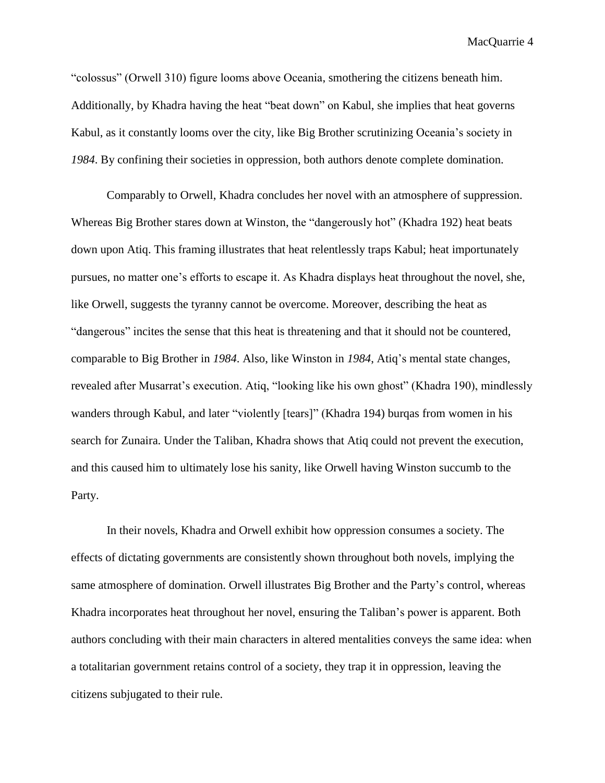MacQuarrie 4

"colossus" (Orwell 310) figure looms above Oceania, smothering the citizens beneath him. Additionally, by Khadra having the heat "beat down" on Kabul, she implies that heat governs Kabul, as it constantly looms over the city, like Big Brother scrutinizing Oceania's society in *1984*. By confining their societies in oppression, both authors denote complete domination.

Comparably to Orwell, Khadra concludes her novel with an atmosphere of suppression. Whereas Big Brother stares down at Winston, the "dangerously hot" (Khadra 192) heat beats down upon Atiq. This framing illustrates that heat relentlessly traps Kabul; heat importunately pursues, no matter one's efforts to escape it. As Khadra displays heat throughout the novel, she, like Orwell, suggests the tyranny cannot be overcome. Moreover, describing the heat as "dangerous" incites the sense that this heat is threatening and that it should not be countered, comparable to Big Brother in *1984*. Also, like Winston in *1984*, Atiq's mental state changes, revealed after Musarrat's execution. Atiq, "looking like his own ghost" (Khadra 190), mindlessly wanders through Kabul, and later "violently [tears]" (Khadra 194) burqas from women in his search for Zunaira. Under the Taliban, Khadra shows that Atiq could not prevent the execution, and this caused him to ultimately lose his sanity, like Orwell having Winston succumb to the Party.

In their novels, Khadra and Orwell exhibit how oppression consumes a society. The effects of dictating governments are consistently shown throughout both novels, implying the same atmosphere of domination. Orwell illustrates Big Brother and the Party's control, whereas Khadra incorporates heat throughout her novel, ensuring the Taliban's power is apparent. Both authors concluding with their main characters in altered mentalities conveys the same idea: when a totalitarian government retains control of a society, they trap it in oppression, leaving the citizens subjugated to their rule.